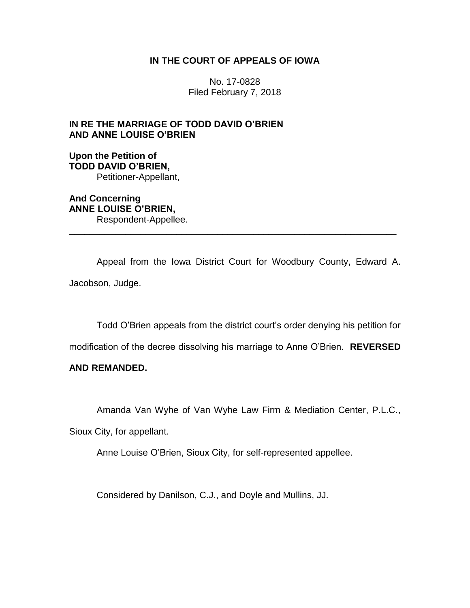# **IN THE COURT OF APPEALS OF IOWA**

No. 17-0828 Filed February 7, 2018

# **IN RE THE MARRIAGE OF TODD DAVID O'BRIEN AND ANNE LOUISE O'BRIEN**

### **Upon the Petition of TODD DAVID O'BRIEN,** Petitioner-Appellant,

**And Concerning ANNE LOUISE O'BRIEN,** Respondent-Appellee.

Appeal from the Iowa District Court for Woodbury County, Edward A. Jacobson, Judge.

\_\_\_\_\_\_\_\_\_\_\_\_\_\_\_\_\_\_\_\_\_\_\_\_\_\_\_\_\_\_\_\_\_\_\_\_\_\_\_\_\_\_\_\_\_\_\_\_\_\_\_\_\_\_\_\_\_\_\_\_\_\_\_\_

Todd O'Brien appeals from the district court's order denying his petition for

modification of the decree dissolving his marriage to Anne O'Brien. **REVERSED** 

### **AND REMANDED.**

Amanda Van Wyhe of Van Wyhe Law Firm & Mediation Center, P.L.C.,

Sioux City, for appellant.

Anne Louise O'Brien, Sioux City, for self-represented appellee.

Considered by Danilson, C.J., and Doyle and Mullins, JJ.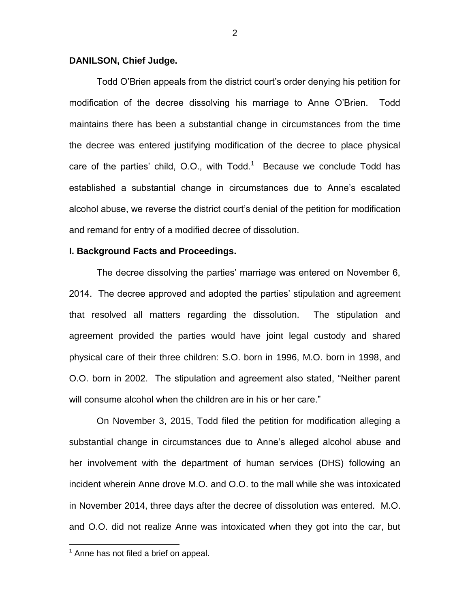### **DANILSON, Chief Judge.**

Todd O'Brien appeals from the district court's order denying his petition for modification of the decree dissolving his marriage to Anne O'Brien. Todd maintains there has been a substantial change in circumstances from the time the decree was entered justifying modification of the decree to place physical care of the parties' child, O.O., with  $Todd<sup>1</sup>$  Because we conclude  $Todd$  has established a substantial change in circumstances due to Anne's escalated alcohol abuse, we reverse the district court's denial of the petition for modification and remand for entry of a modified decree of dissolution.

### **I. Background Facts and Proceedings.**

The decree dissolving the parties' marriage was entered on November 6, 2014. The decree approved and adopted the parties' stipulation and agreement that resolved all matters regarding the dissolution. The stipulation and agreement provided the parties would have joint legal custody and shared physical care of their three children: S.O. born in 1996, M.O. born in 1998, and O.O. born in 2002. The stipulation and agreement also stated, "Neither parent will consume alcohol when the children are in his or her care."

On November 3, 2015, Todd filed the petition for modification alleging a substantial change in circumstances due to Anne's alleged alcohol abuse and her involvement with the department of human services (DHS) following an incident wherein Anne drove M.O. and O.O. to the mall while she was intoxicated in November 2014, three days after the decree of dissolution was entered. M.O. and O.O. did not realize Anne was intoxicated when they got into the car, but

 $\overline{a}$ 

 $<sup>1</sup>$  Anne has not filed a brief on appeal.</sup>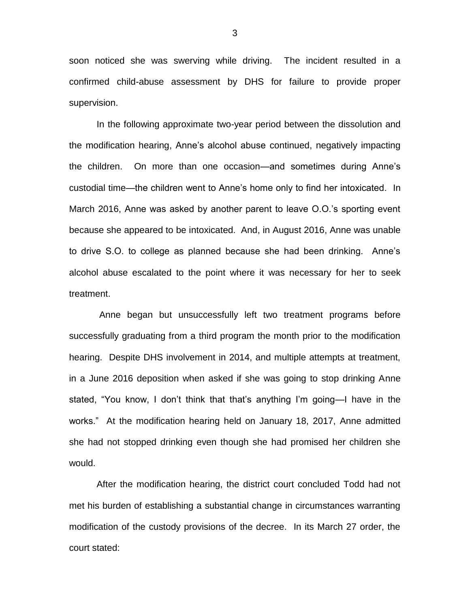soon noticed she was swerving while driving. The incident resulted in a confirmed child-abuse assessment by DHS for failure to provide proper supervision.

In the following approximate two-year period between the dissolution and the modification hearing, Anne's alcohol abuse continued, negatively impacting the children. On more than one occasion—and sometimes during Anne's custodial time—the children went to Anne's home only to find her intoxicated. In March 2016, Anne was asked by another parent to leave O.O.'s sporting event because she appeared to be intoxicated. And, in August 2016, Anne was unable to drive S.O. to college as planned because she had been drinking. Anne's alcohol abuse escalated to the point where it was necessary for her to seek treatment.

Anne began but unsuccessfully left two treatment programs before successfully graduating from a third program the month prior to the modification hearing. Despite DHS involvement in 2014, and multiple attempts at treatment, in a June 2016 deposition when asked if she was going to stop drinking Anne stated, "You know, I don't think that that's anything I'm going—I have in the works." At the modification hearing held on January 18, 2017, Anne admitted she had not stopped drinking even though she had promised her children she would.

After the modification hearing, the district court concluded Todd had not met his burden of establishing a substantial change in circumstances warranting modification of the custody provisions of the decree. In its March 27 order, the court stated:

3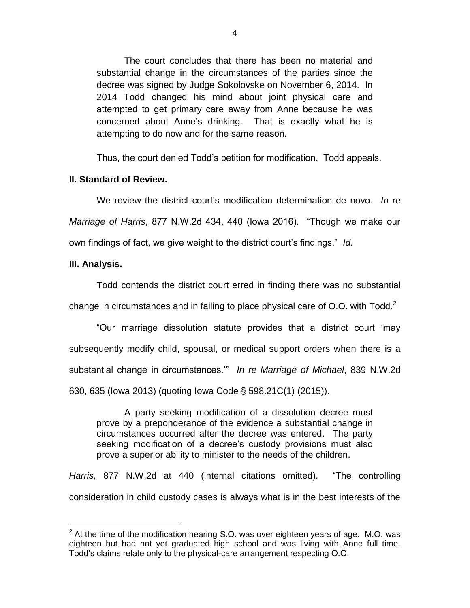The court concludes that there has been no material and substantial change in the circumstances of the parties since the decree was signed by Judge Sokolovske on November 6, 2014. In 2014 Todd changed his mind about joint physical care and attempted to get primary care away from Anne because he was concerned about Anne's drinking. That is exactly what he is attempting to do now and for the same reason.

Thus, the court denied Todd's petition for modification. Todd appeals.

# **II. Standard of Review.**

We review the district court's modification determination de novo. *In re Marriage of Harris*, 877 N.W.2d 434, 440 (Iowa 2016). "Though we make our own findings of fact, we give weight to the district court's findings." *Id.*

# **III. Analysis.**

 $\overline{a}$ 

Todd contends the district court erred in finding there was no substantial change in circumstances and in failing to place physical care of O.O. with  $Todd.<sup>2</sup>$ 

"Our marriage dissolution statute provides that a district court 'may subsequently modify child, spousal, or medical support orders when there is a substantial change in circumstances.'" *In re Marriage of Michael*, 839 N.W.2d 630, 635 (Iowa 2013) (quoting Iowa Code § 598.21C(1) (2015)).

A party seeking modification of a dissolution decree must prove by a preponderance of the evidence a substantial change in circumstances occurred after the decree was entered. The party seeking modification of a decree's custody provisions must also prove a superior ability to minister to the needs of the children.

*Harris*, 877 N.W.2d at 440 (internal citations omitted). "The controlling consideration in child custody cases is always what is in the best interests of the

 $2^2$  At the time of the modification hearing S.O. was over eighteen years of age. M.O. was eighteen but had not yet graduated high school and was living with Anne full time. Todd's claims relate only to the physical-care arrangement respecting O.O.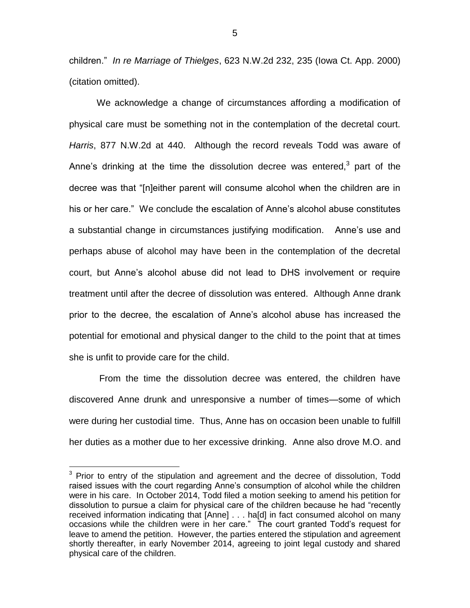children." *In re Marriage of Thielges*, 623 N.W.2d 232, 235 (Iowa Ct. App. 2000) (citation omitted).

We acknowledge a change of circumstances affording a modification of physical care must be something not in the contemplation of the decretal court. *Harris*, 877 N.W.2d at 440. Although the record reveals Todd was aware of Anne's drinking at the time the dissolution decree was entered, $3$  part of the decree was that "[n]either parent will consume alcohol when the children are in his or her care." We conclude the escalation of Anne's alcohol abuse constitutes a substantial change in circumstances justifying modification. Anne's use and perhaps abuse of alcohol may have been in the contemplation of the decretal court, but Anne's alcohol abuse did not lead to DHS involvement or require treatment until after the decree of dissolution was entered. Although Anne drank prior to the decree, the escalation of Anne's alcohol abuse has increased the potential for emotional and physical danger to the child to the point that at times she is unfit to provide care for the child.

From the time the dissolution decree was entered, the children have discovered Anne drunk and unresponsive a number of times—some of which were during her custodial time. Thus, Anne has on occasion been unable to fulfill her duties as a mother due to her excessive drinking. Anne also drove M.O. and

 $\overline{a}$ 

 $3$  Prior to entry of the stipulation and agreement and the decree of dissolution, Todd raised issues with the court regarding Anne's consumption of alcohol while the children were in his care. In October 2014, Todd filed a motion seeking to amend his petition for dissolution to pursue a claim for physical care of the children because he had "recently received information indicating that [Anne] . . . ha[d] in fact consumed alcohol on many occasions while the children were in her care." The court granted Todd's request for leave to amend the petition. However, the parties entered the stipulation and agreement shortly thereafter, in early November 2014, agreeing to joint legal custody and shared physical care of the children.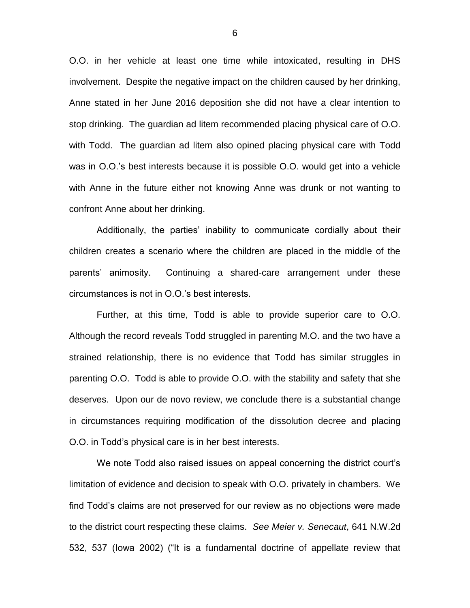O.O. in her vehicle at least one time while intoxicated, resulting in DHS involvement. Despite the negative impact on the children caused by her drinking, Anne stated in her June 2016 deposition she did not have a clear intention to stop drinking. The guardian ad litem recommended placing physical care of O.O. with Todd. The guardian ad litem also opined placing physical care with Todd was in O.O.'s best interests because it is possible O.O. would get into a vehicle with Anne in the future either not knowing Anne was drunk or not wanting to confront Anne about her drinking.

Additionally, the parties' inability to communicate cordially about their children creates a scenario where the children are placed in the middle of the parents' animosity. Continuing a shared-care arrangement under these circumstances is not in O.O.'s best interests.

Further, at this time, Todd is able to provide superior care to O.O. Although the record reveals Todd struggled in parenting M.O. and the two have a strained relationship, there is no evidence that Todd has similar struggles in parenting O.O. Todd is able to provide O.O. with the stability and safety that she deserves. Upon our de novo review, we conclude there is a substantial change in circumstances requiring modification of the dissolution decree and placing O.O. in Todd's physical care is in her best interests.

We note Todd also raised issues on appeal concerning the district court's limitation of evidence and decision to speak with O.O. privately in chambers. We find Todd's claims are not preserved for our review as no objections were made to the district court respecting these claims. *See Meier v. Senecaut*, 641 N.W.2d 532, 537 (Iowa 2002) ("It is a fundamental doctrine of appellate review that